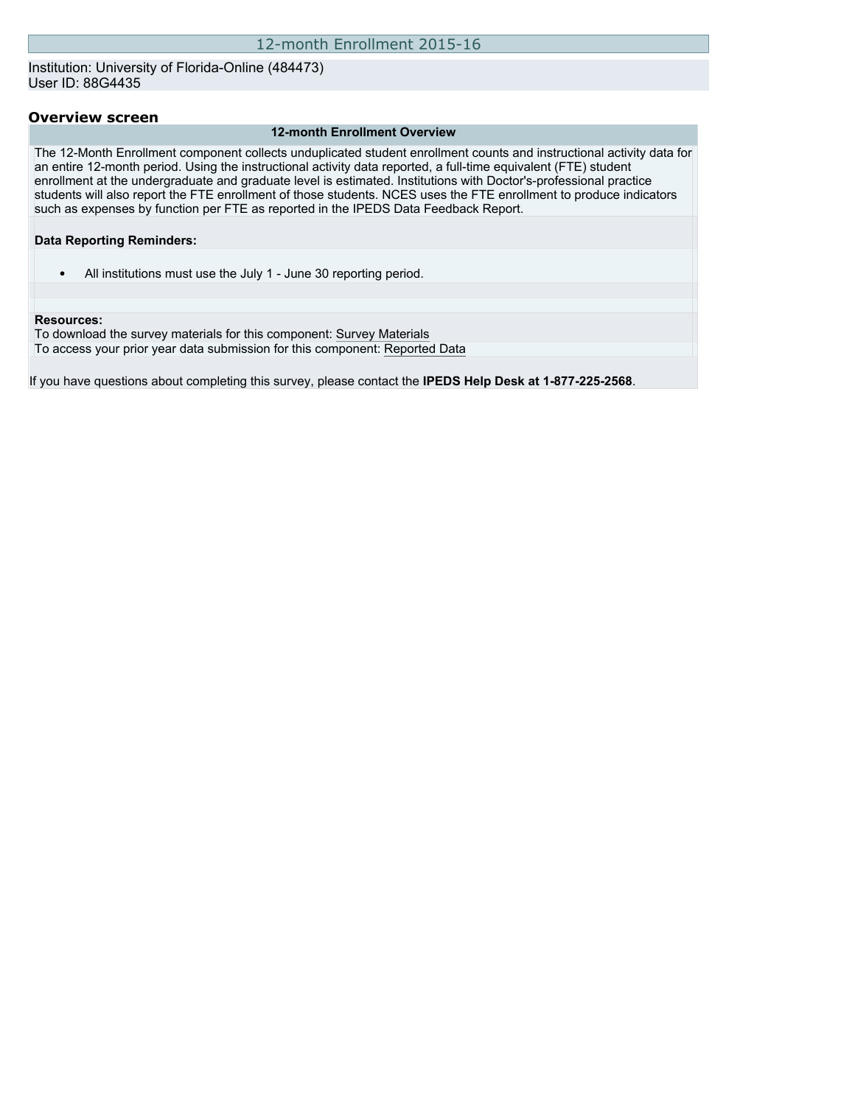Institution: University of Florida-Online (484473) User ID: 88G4435

### **Overview screen**

#### **12-month Enrollment Overview**

The 12-Month Enrollment component collects unduplicated student enrollment counts and instructional activity data for an entire 12-month period. Using the instructional activity data reported, a full-time equivalent (FTE) student enrollment at the undergraduate and graduate level is estimated. Institutions with Doctor's-professional practice students will also report the FTE enrollment of those students. NCES uses the FTE enrollment to produce indicators such as expenses by function per FTE as reported in the IPEDS Data Feedback Report.

#### **Data Reporting Reminders:**

• All institutions must use the July 1 - June 30 reporting period.

#### **Resources:**

To download the survey materials for this component: [Survey Materials](https://surveys.nces.ed.gov/ipeds/VisIndex.aspx) To access your prior year data submission for this component: [Reported Data](http://192.168.102.89/IPEDS/PriorYearDataRedirect.aspx?survey_id=9)

If you have questions about completing this survey, please contact the **IPEDS Help Desk at 1-877-225-2568**.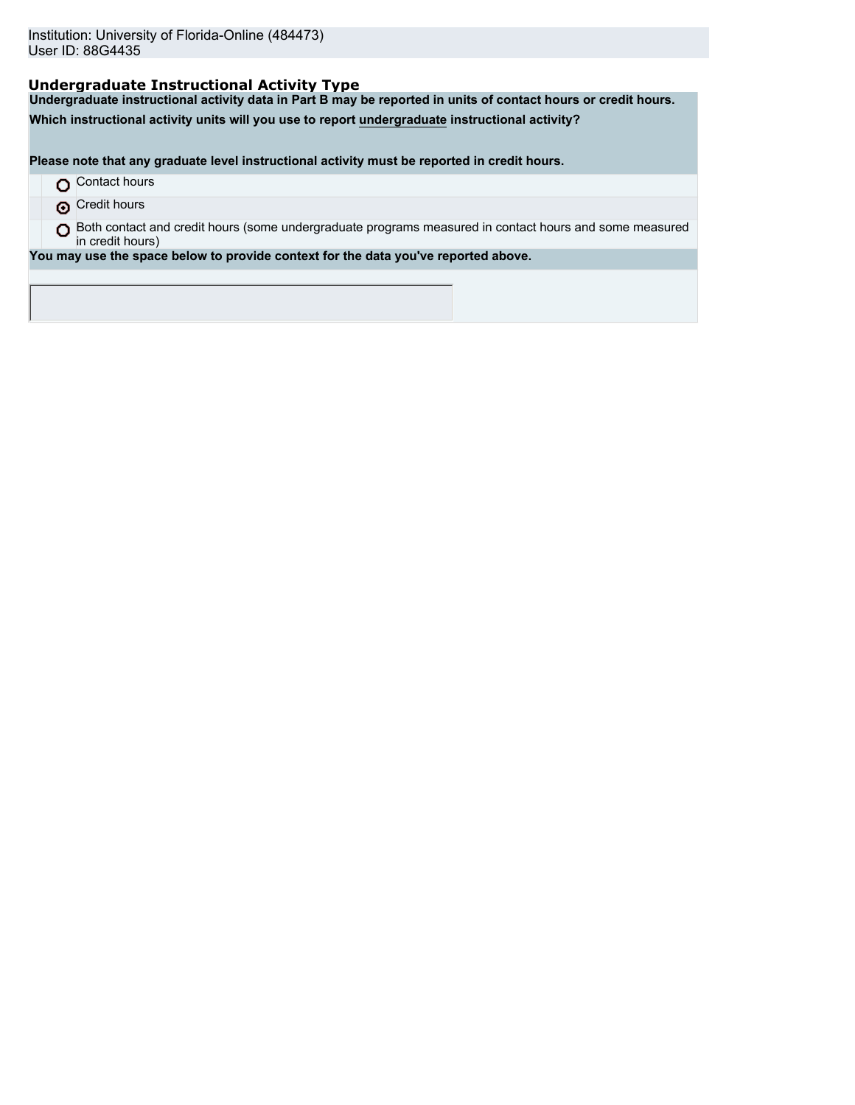# **Undergraduate Instructional Activity Type**

**Undergraduate instructional activity data in Part B may be reported in units of contact hours or credit hours.**

**Which instructional activity units will you use to report undergraduate instructional activity?**

**Please note that any graduate level instructional activity must be reported in credit hours.**

- **O** Contact hours
- **O** Credit hours
- O Both contact and credit hours (some undergraduate programs measured in contact hours and some measured in credit hours)

**You may use the space below to provide context for the data you've reported above.**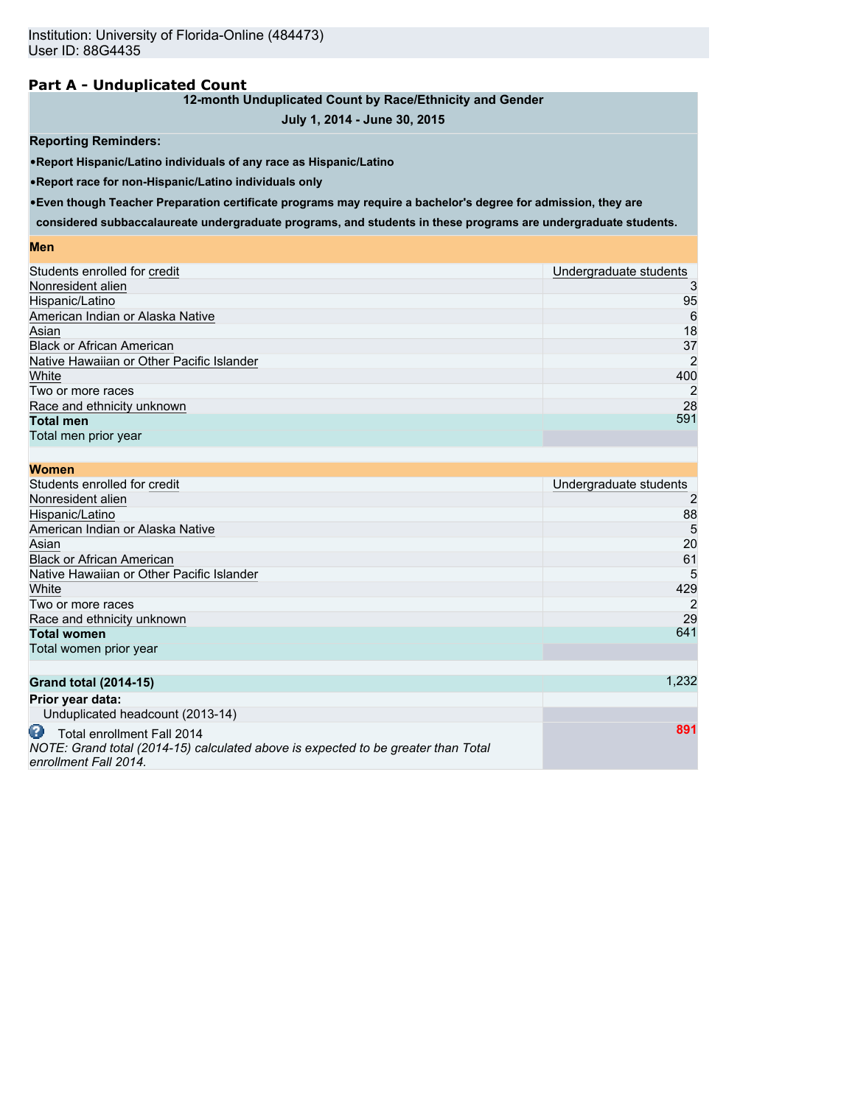# **Part A - Unduplicated Count**

## **12-month Unduplicated Count by Race/Ethnicity and Gender**

# **July 1, 2014 - June 30, 2015**

## **Reporting Reminders:**

•**Report Hispanic/Latino individuals of any race as Hispanic/Latino**

•**Report race for non-Hispanic/Latino individuals only**

•**Even though Teacher Preparation certificate programs may require a bachelor's degree for admission, they are**

**considered subbaccalaureate undergraduate programs, and students in these programs are undergraduate students.**

#### **Men**

| Students enrolled for credit              | Undergraduate students |
|-------------------------------------------|------------------------|
| Nonresident alien                         | 3                      |
| Hispanic/Latino                           | 95                     |
| American Indian or Alaska Native          | 6                      |
| Asian                                     | 18                     |
| <b>Black or African American</b>          | 37                     |
| Native Hawaiian or Other Pacific Islander | $\overline{2}$         |
| White                                     | 400                    |
| Two or more races                         | $\overline{2}$         |
| Race and ethnicity unknown                | 28                     |
| <b>Total men</b>                          | 591                    |
| Total men prior year                      |                        |
|                                           |                        |

| <b>Women</b>                                                                                                         |                        |
|----------------------------------------------------------------------------------------------------------------------|------------------------|
| Students enrolled for credit                                                                                         | Undergraduate students |
| Nonresident alien                                                                                                    | 2                      |
| Hispanic/Latino                                                                                                      | 88                     |
| American Indian or Alaska Native                                                                                     | 5                      |
| Asian                                                                                                                | 20                     |
| <b>Black or African American</b>                                                                                     | 61                     |
| Native Hawaiian or Other Pacific Islander                                                                            | 5                      |
| White                                                                                                                | 429                    |
| Two or more races                                                                                                    | 2                      |
| Race and ethnicity unknown                                                                                           | 29                     |
| <b>Total women</b>                                                                                                   | 641                    |
| Total women prior year                                                                                               |                        |
|                                                                                                                      |                        |
| <b>Grand total (2014-15)</b>                                                                                         | 1,232                  |
| Prior year data:                                                                                                     |                        |
| Unduplicated headcount (2013-14)                                                                                     |                        |
| œ<br>Total enrollment Fall 2014<br>NOTE: Grand total (2014-15) calculated above is expected to be greater than Total | 891                    |

*enrollment Fall 2014.*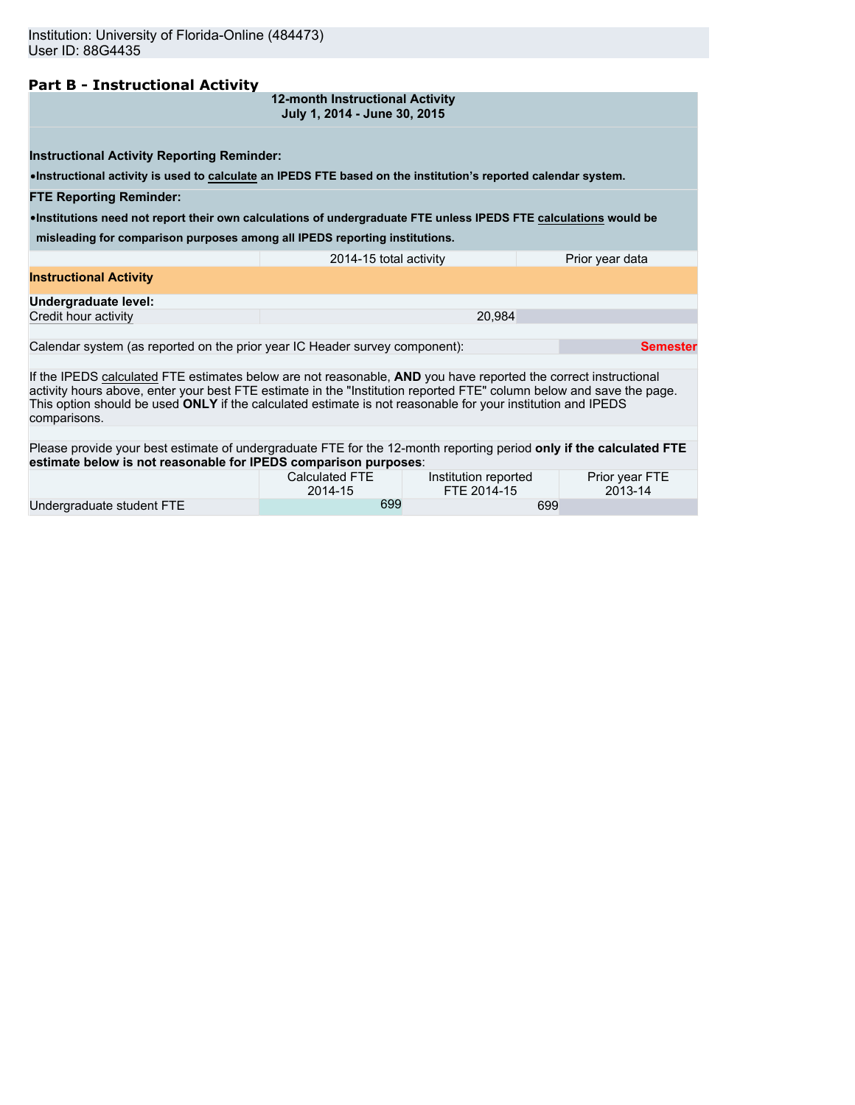# **Part B - Instructional Activity**

**12-month Instructional Activity July 1, 2014 - June 30, 2015**

**Instructional Activity Reporting Reminder:**

•**Instructional activity is used to calculate an IPEDS FTE based on the institution's reported calendar system.**

**FTE Reporting Reminder:**

•**Institutions need not report their own calculations of undergraduate FTE unless IPEDS FTE calculations would be**

**misleading for comparison purposes among all IPEDS reporting institutions.**

|                                                                             | 2014-15 total activity | Prior year data |
|-----------------------------------------------------------------------------|------------------------|-----------------|
| <b>Instructional Activity</b>                                               |                        |                 |
| Undergraduate level:                                                        |                        |                 |
| Credit hour activity                                                        | 20.984                 |                 |
|                                                                             |                        |                 |
| Calendar system (as reported on the prior year IC Header survey component): | Semester               |                 |

If the IPEDS calculated FTE estimates below are not reasonable, **AND** you have reported the correct instructional activity hours above, enter your best FTE estimate in the "Institution reported FTE" column below and save the page. This option should be used **ONLY** if the calculated estimate is not reasonable for your institution and IPEDS comparisons.

Please provide your best estimate of undergraduate FTE for the 12-month reporting period **only if the calculated FTE estimate below is not reasonable for IPEDS comparison purposes**:

|                           | Calculated FTE | Institution reported | Prior year FTE |
|---------------------------|----------------|----------------------|----------------|
|                           | 2014-15        | FTE 2014-15          | 2013-14        |
| Undergraduate student FTE | 699            | 699                  |                |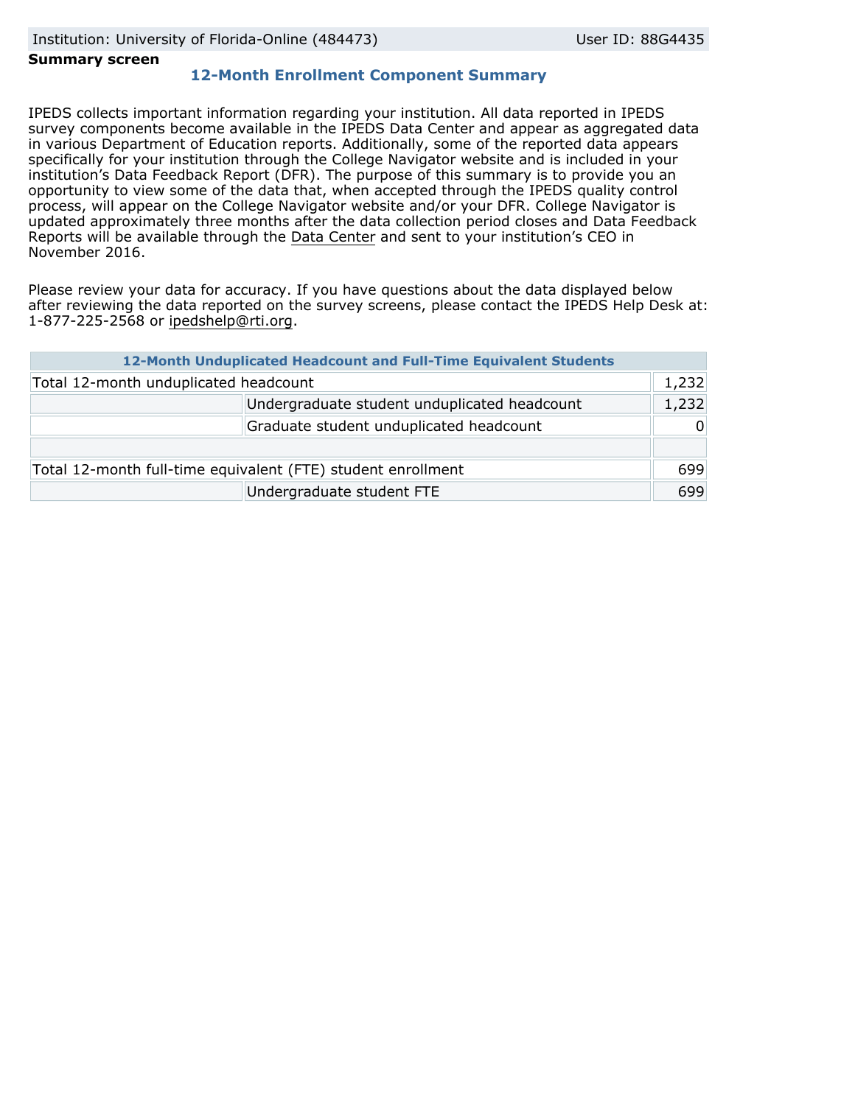#### **Summary screen**

# **12-Month Enrollment Component Summary**

IPEDS collects important information regarding your institution. All data reported in IPEDS survey components become available in the IPEDS Data Center and appear as aggregated data in various Department of Education reports. Additionally, some of the reported data appears specifically for your institution through the College Navigator website and is included in your institution's Data Feedback Report (DFR). The purpose of this summary is to provide you an opportunity to view some of the data that, when accepted through the IPEDS quality control process, will appear on the College Navigator website and/or your DFR. College Navigator is updated approximately three months after the data collection period closes and Data Feedback Reports will be available through the [Data Center](http://nces.ed.gov/ipeds/datacenter/) and sent to your institution's CEO in November 2016.

Please review your data for accuracy. If you have questions about the data displayed below after reviewing the data reported on the survey screens, please contact the IPEDS Help Desk at: 1-877-225-2568 or ipedshelp@rti.org.

| 12-Month Unduplicated Headcount and Full-Time Equivalent Students |                                              |          |  |  |
|-------------------------------------------------------------------|----------------------------------------------|----------|--|--|
| Total 12-month unduplicated headcount                             |                                              | 1,232    |  |  |
|                                                                   | Undergraduate student unduplicated headcount | 1,232    |  |  |
|                                                                   | Graduate student unduplicated headcount      | $\Omega$ |  |  |
|                                                                   |                                              |          |  |  |
| Total 12-month full-time equivalent (FTE) student enrollment      |                                              | 699      |  |  |
|                                                                   | Undergraduate student FTE                    | 699      |  |  |